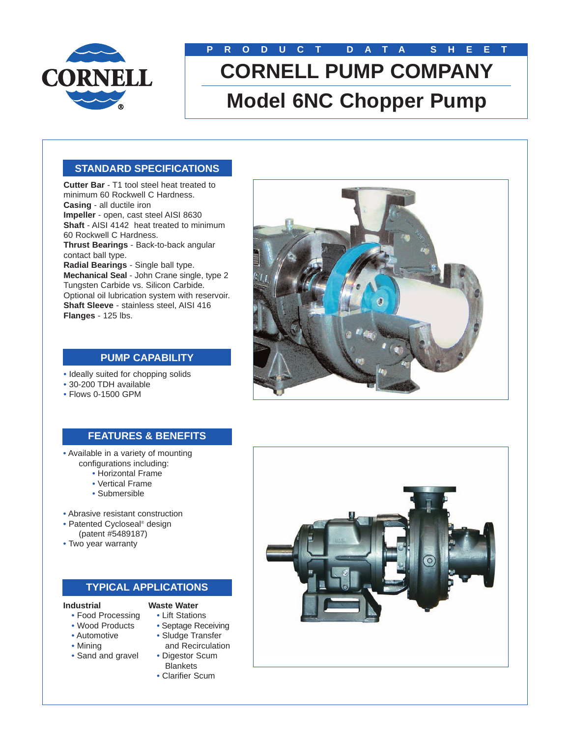

# **PRODUCT DATA SHEET CORNELL PUMP COMPANY Model 6NC Chopper Pump**

# **STANDARD SPECIFICATIONS**

**Cutter Bar** - T1 tool steel heat treated to minimum 60 Rockwell C Hardness. **Casing** - all ductile iron **Impeller** - open, cast steel AISI 8630 **Shaft** - AISI 4142 heat treated to minimum 60 Rockwell C Hardness. **Thrust Bearings** - Back-to-back angular contact ball type. **Radial Bearings** - Single ball type. **Mechanical Seal** - John Crane single, type 2 Tungsten Carbide vs. Silicon Carbide. Optional oil lubrication system with reservoir. **Shaft Sleeve** - stainless steel, AISI 416 **Flanges** - 125 lbs.



# **PUMP CAPABILITY**

- Ideally suited for chopping solids
- 30-200 TDH available
- Flows 0-1500 GPM

# **FEATURES & BENEFITS**

- Available in a variety of mounting configurations including:
	- Horizontal Frame
	- Vertical Frame
	- Submersible
- Abrasive resistant construction
- Patented Cycloseal® design (patent #5489187)
- Two year warranty

### **TYPICAL APPLICATIONS**

#### **Industrial**

- **Waste Water** • Lift Stations
- Food Processing • Wood Products
- Septage Receiving
- Automotive
- Mining
- Sand and gravel
- Sludge Transfer and Recirculation
- Digestor Scum **Blankets**
- Clarifier Scum